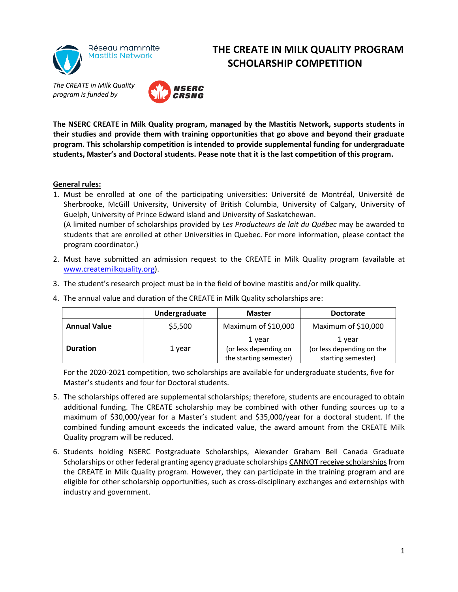

## **THE CREATE IN MILK QUALITY PROGRAM SCHOLARSHIP COMPETITION**



**The NSERC CREATE in Milk Quality program, managed by the Mastitis Network, supports students in their studies and provide them with training opportunities that go above and beyond their graduate program. This scholarship competition is intended to provide supplemental funding for undergraduate students, Master's and Doctoral students. Pease note that it is the last competition of this program.**

## **General rules:**

1. Must be enrolled at one of the participating universities: Université de Montréal, Université de Sherbrooke, McGill University, University of British Columbia, University of Calgary, University of Guelph, University of Prince Edward Island and University of Saskatchewan. (A limited number of scholarships provided by *Les Producteurs de lait du Québec* may be awarded to

students that are enrolled at other Universities in Quebec. For more information, please contact the program coordinator.)

- 2. Must have submitted an admission request to the CREATE in Milk Quality program (available at [www.createmilkquality.org\)](http://www.createmilkquality.org/).
- 3. The student's research project must be in the field of bovine mastitis and/or milk quality.

|                     | Undergraduate | <b>Master</b>                                             | <b>Doctorate</b>                                          |
|---------------------|---------------|-----------------------------------------------------------|-----------------------------------------------------------|
| <b>Annual Value</b> | \$5,500       | Maximum of \$10,000                                       | Maximum of \$10,000                                       |
| <b>Duration</b>     | 1 year        | 1 year<br>(or less depending on<br>the starting semester) | 1 year<br>(or less depending on the<br>starting semester) |

4. The annual value and duration of the CREATE in Milk Quality scholarships are:

For the 2020-2021 competition, two scholarships are available for undergraduate students, five for Master's students and four for Doctoral students.

- 5. The scholarships offered are supplemental scholarships; therefore, students are encouraged to obtain additional funding. The CREATE scholarship may be combined with other funding sources up to a maximum of \$30,000/year for a Master's student and \$35,000/year for a doctoral student. If the combined funding amount exceeds the indicated value, the award amount from the CREATE Milk Quality program will be reduced.
- 6. Students holding NSERC Postgraduate Scholarships, Alexander Graham Bell Canada Graduate Scholarships or other federal granting agency graduate scholarships CANNOT receive scholarships from the CREATE in Milk Quality program. However, they can participate in the training program and are eligible for other scholarship opportunities, such as cross-disciplinary exchanges and externships with industry and government.